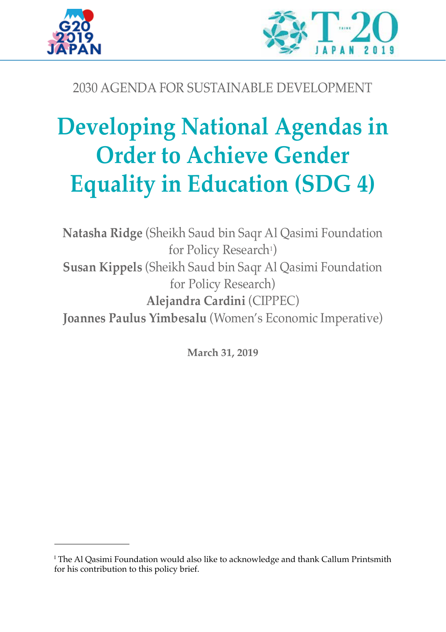



# 2030 AGENDA FOR SUSTAINABLE DEVELOPMENT

# **Developing National Agendas in Order to Achieve Gender Equality in Education (SDG 4)**

**Natasha Ridge** (Sheikh Saud bin Saqr Al Qasimi Foundation for Policy Research<sup>1</sup>) **Susan Kippels** (Sheikh Saud bin Saqr Al Qasimi Foundation for Policy Research) **Alejandra Cardini** (CIPPEC) **Joannes Paulus Yimbesalu** (Women's Economic Imperative)

**March 31, 2019**

 $^{\rm I}$  The Al Qasimi Foundation would also like to acknowledge and thank Callum Printsmith for his contribution to this policy brief.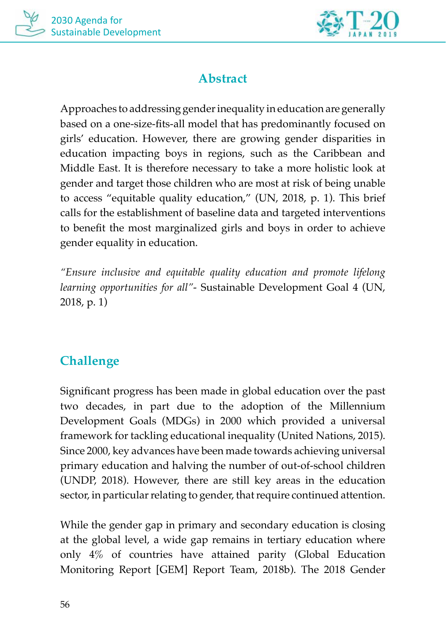



# **Abstract**

Approaches to addressing gender inequality in education are generally based on a one-size-fits-all model that has predominantly focused on girls' education. However, there are growing gender disparities in education impacting boys in regions, such as the Caribbean and Middle East. It is therefore necessary to take a more holistic look at gender and target those children who are most at risk of being unable to access "equitable quality education," (UN, 2018, p. 1). This brief calls for the establishment of baseline data and targeted interventions to benefit the most marginalized girls and boys in order to achieve gender equality in education.

*"Ensure inclusive and equitable quality education and promote lifelong learning opportunities for all"*- Sustainable Development Goal 4 (UN, 2018, p. 1)

## **Challenge**

Significant progress has been made in global education over the past two decades, in part due to the adoption of the Millennium Development Goals (MDGs) in 2000 which provided a universal framework for tackling educational inequality (United Nations, 2015). Since 2000, key advances have been made towards achieving universal primary education and halving the number of out-of-school children (UNDP, 2018). However, there are still key areas in the education sector, in particular relating to gender, that require continued attention.

While the gender gap in primary and secondary education is closing at the global level, a wide gap remains in tertiary education where only 4% of countries have attained parity (Global Education Monitoring Report [GEM] Report Team, 2018b). The 2018 Gender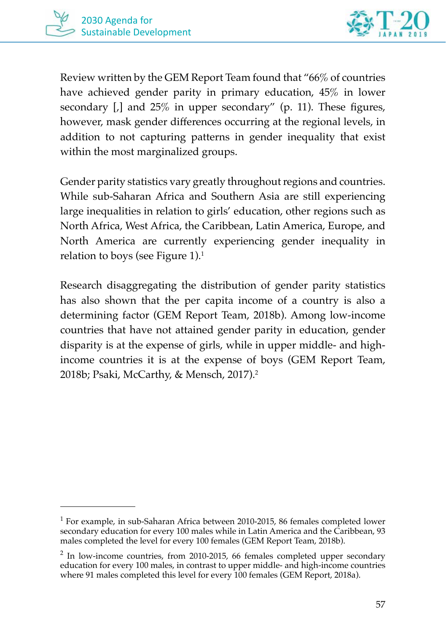

Review written by the GEM Report Team found that "66% of countries have achieved gender parity in primary education, 45% in lower secondary [,] and 25% in upper secondary" (p. 11). These figures, however, mask gender differences occurring at the regional levels, in addition to not capturing patterns in gender inequality that exist within the most marginalized groups.

Gender parity statistics vary greatly throughout regions and countries. While sub-Saharan Africa and Southern Asia are still experiencing large inequalities in relation to girls' education, other regions such as North Africa, West Africa, the Caribbean, Latin America, Europe, and North America are currently experiencing gender inequality in relation to boys (see Figure 1). $^{\rm 1}$ 

Research disaggregating the distribution of gender parity statistics has also shown that the per capita income of a country is also a determining factor (GEM Report Team, 2018b). Among low-income countries that have not attained gender parity in education, gender disparity is at the expense of girls, while in upper middle- and highincome countries it is at the expense of boys (GEM Report Team, 2018b; Psaki, McCarthy, & Mensch, 2017).<sup>2</sup>

 $<sup>1</sup>$  For example, in sub-Saharan Africa between 2010-2015, 86 females completed lower</sup> secondary education for every 100 males while in Latin America and the Caribbean, 93 males completed the level for every 100 females (GEM Report Team, 2018b).

<sup>&</sup>lt;sup>2</sup> In low-income countries, from 2010-2015, 66 females completed upper secondary education for every 100 males, in contrast to upper middle- and high-income countries where 91 males completed this level for every 100 females (GEM Report, 2018a).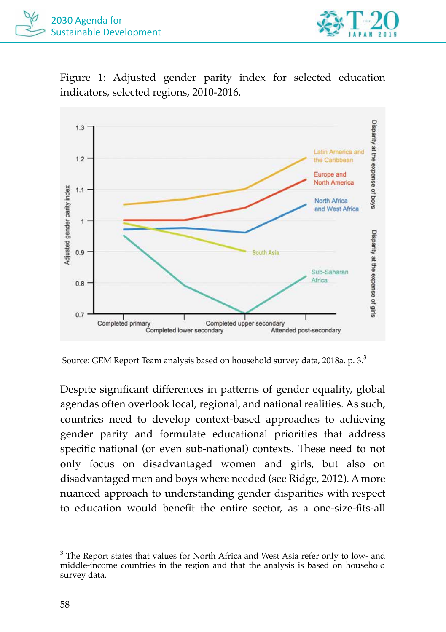

Figure 1: Adjusted gender parity index for selected education indicators, selected regions, 2010-2016.



Source: GEM Report Team analysis based on household survey data, 2018a, p. 3.3

Despite significant differences in patterns of gender equality, global agendas often overlook local, regional, and national realities. As such, countries need to develop context-based approaches to achieving gender parity and formulate educational priorities that address specific national (or even sub-national) contexts. These need to not only focus on disadvantaged women and girls, but also on disadvantaged men and boys where needed (see Ridge, 2012). A more nuanced approach to understanding gender disparities with respect to education would benefit the entire sector, as a one-size-fits-all

 $3$  The Report states that values for North Africa and West Asia refer only to low- and middle-income countries in the region and that the analysis is based on household survey data.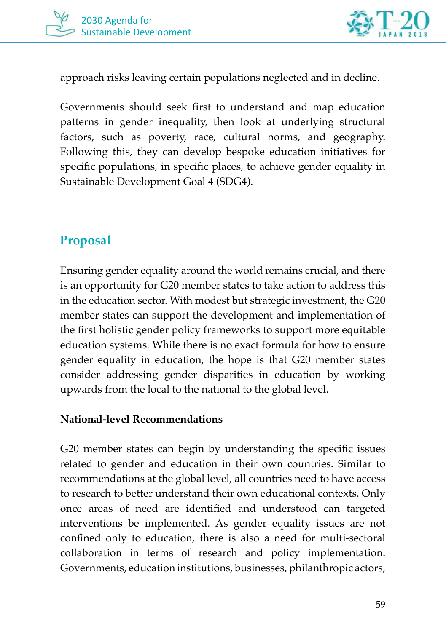



approach risks leaving certain populations neglected and in decline.

Governments should seek first to understand and map education patterns in gender inequality, then look at underlying structural factors, such as poverty, race, cultural norms, and geography. Following this, they can develop bespoke education initiatives for specific populations, in specific places, to achieve gender equality in Sustainable Development Goal 4 (SDG4).

## **Proposal**

Ensuring gender equality around the world remains crucial, and there is an opportunity for G20 member states to take action to address this in the education sector. With modest but strategic investment, the G20 member states can support the development and implementation of the first holistic gender policy frameworks to support more equitable education systems. While there is no exact formula for how to ensure gender equality in education, the hope is that G20 member states consider addressing gender disparities in education by working upwards from the local to the national to the global level.

#### **National-level Recommendations**

G20 member states can begin by understanding the specific issues related to gender and education in their own countries. Similar to recommendations at the global level, all countries need to have access to research to better understand their own educational contexts. Only once areas of need are identified and understood can targeted interventions be implemented. As gender equality issues are not confined only to education, there is also a need for multi-sectoral collaboration in terms of research and policy implementation. Governments, education institutions, businesses, philanthropic actors,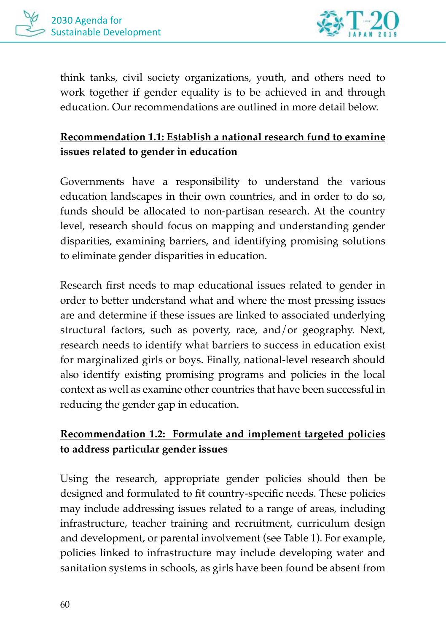



think tanks, civil society organizations, youth, and others need to work together if gender equality is to be achieved in and through education. Our recommendations are outlined in more detail below.

#### **Recommendation 1.1: Establish a national research fund to examine issues related to gender in education**

Governments have a responsibility to understand the various education landscapes in their own countries, and in order to do so, funds should be allocated to non-partisan research. At the country level, research should focus on mapping and understanding gender disparities, examining barriers, and identifying promising solutions to eliminate gender disparities in education.

Research first needs to map educational issues related to gender in order to better understand what and where the most pressing issues are and determine if these issues are linked to associated underlying structural factors, such as poverty, race, and/or geography. Next, research needs to identify what barriers to success in education exist for marginalized girls or boys. Finally, national-level research should also identify existing promising programs and policies in the local context as well as examine other countries that have been successful in reducing the gender gap in education.

#### **Recommendation 1.2: Formulate and implement targeted policies to address particular gender issues**

Using the research, appropriate gender policies should then be designed and formulated to fit country-specific needs. These policies may include addressing issues related to a range of areas, including infrastructure, teacher training and recruitment, curriculum design and development, or parental involvement (see Table 1). For example, policies linked to infrastructure may include developing water and sanitation systems in schools, as girls have been found be absent from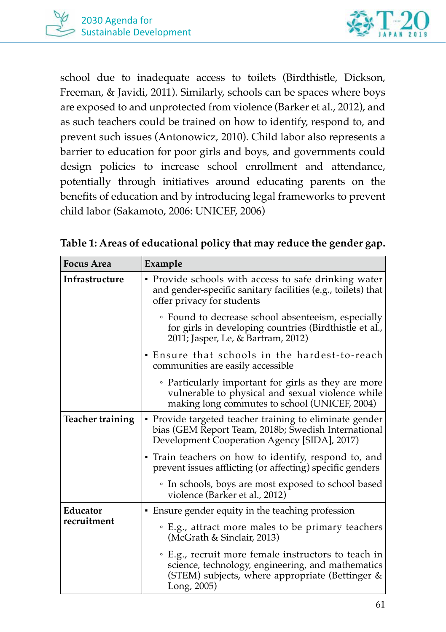



school due to inadequate access to toilets (Birdthistle, Dickson, Freeman, & Javidi, 2011). Similarly, schools can be spaces where boys are exposed to and unprotected from violence (Barker et al., 2012), and as such teachers could be trained on how to identify, respond to, and prevent such issues (Antonowicz, 2010). Child labor also represents a barrier to education for poor girls and boys, and governments could design policies to increase school enrollment and attendance, potentially through initiatives around educating parents on the benefits of education and by introducing legal frameworks to prevent child labor (Sakamoto, 2006: UNICEF, 2006)

| <b>Focus Area</b>       | Example                                                                                                                                                                       |
|-------------------------|-------------------------------------------------------------------------------------------------------------------------------------------------------------------------------|
| Infrastructure          | • Provide schools with access to safe drinking water<br>and gender-specific sanitary facilities (e.g., toilets) that<br>offer privacy for students                            |
|                         | • Found to decrease school absenteeism, especially<br>for girls in developing countries (Birdthistle et al.,<br>2011; Jasper, Le, & Bartram, 2012)                            |
|                         | • Ensure that schools in the hardest-to-reach<br>communities are easily accessible                                                                                            |
|                         | • Particularly important for girls as they are more<br>vulnerable to physical and sexual violence while<br>making long commutes to school (UNICEF, 2004)                      |
| <b>Teacher training</b> | • Provide targeted teacher training to eliminate gender<br>bias (GEM Report Team, 2018b; Swedish International<br>Development Cooperation Agency [SIDA], 2017)                |
|                         | • Train teachers on how to identify, respond to, and<br>prevent issues afflicting (or affecting) specific genders                                                             |
|                         | • In schools, boys are most exposed to school based<br>violence (Barker et al., 2012)                                                                                         |
| Educator<br>recruitment | • Ensure gender equity in the teaching profession                                                                                                                             |
|                         | • E.g., attract more males to be primary teachers<br>(McGrath & Sinclair, 2013)                                                                                               |
|                         | ∘ E.g., recruit more female instructors to teach in<br>science, technology, engineering, and mathematics<br>(STEM) subjects, where appropriate (Bettinger $\&$<br>Long, 2005) |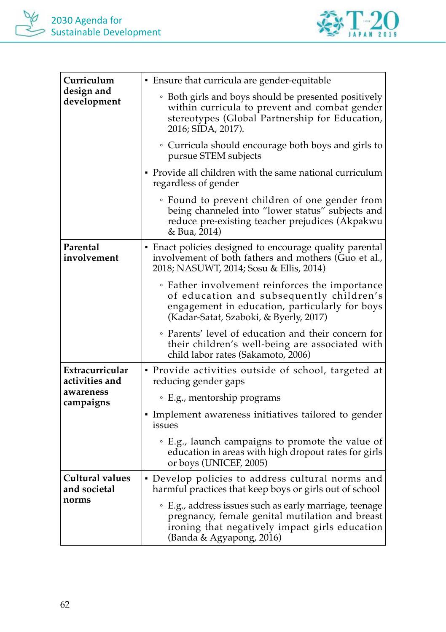

| Curriculum<br>design and<br>development                     | • Ensure that curricula are gender-equitable                                                                                                                                            |
|-------------------------------------------------------------|-----------------------------------------------------------------------------------------------------------------------------------------------------------------------------------------|
|                                                             | • Both girls and boys should be presented positively<br>within curricula to prevent and combat gender<br>stereotypes (Global Partnership for Education,<br>2016; SIDA, 2017).           |
|                                                             | • Curricula should encourage both boys and girls to<br>pursue STEM subjects                                                                                                             |
|                                                             | • Provide all children with the same national curriculum<br>regardless of gender                                                                                                        |
|                                                             | • Found to prevent children of one gender from<br>being channeled into "lower status" subjects and<br>reduce pre-existing teacher prejudices (Akpakwu<br>& Bua, 2014)                   |
| Parental<br>involvement                                     | • Enact policies designed to encourage quality parental<br>involvement of both fathers and mothers (Guo et al.,<br>2018; NASUWT, 2014; Sosu & Ellis, 2014)                              |
|                                                             | • Father involvement reinforces the importance<br>of education and subsequently children's<br>engagement in education, particularly for boys<br>(Kadar-Satat, Szaboki, & Byerly, 2017)  |
|                                                             | • Parents' level of education and their concern for<br>their children's well-being are associated with<br>child labor rates (Sakamoto, 2006)                                            |
| Extracurricular<br>activities and<br>awareness<br>campaigns | • Provide activities outside of school, targeted at<br>reducing gender gaps                                                                                                             |
|                                                             | · E.g., mentorship programs                                                                                                                                                             |
|                                                             | • Implement awareness initiatives tailored to gender<br>issues                                                                                                                          |
|                                                             | • E.g., launch campaigns to promote the value of<br>education in areas with high dropout rates for girls<br>or boys (UNICEF, 2005)                                                      |
| Cultural values<br>and societal<br>norms                    | · Develop policies to address cultural norms and<br>harmful practices that keep boys or girls out of school                                                                             |
|                                                             | ◦ E.g., address issues such as early marriage, teenage<br>pregnancy, female genital mutilation and breast<br>ironing that negatively impact girls education<br>(Banda & Agyapong, 2016) |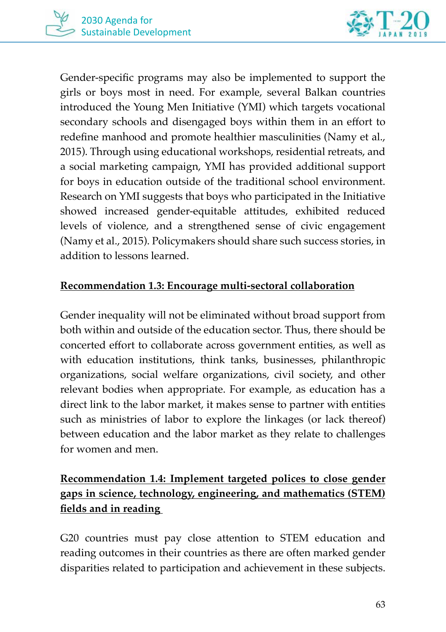

Gender-specific programs may also be implemented to support the girls or boys most in need. For example, several Balkan countries introduced the Young Men Initiative (YMI) which targets vocational secondary schools and disengaged boys within them in an effort to redefine manhood and promote healthier masculinities (Namy et al., 2015). Through using educational workshops, residential retreats, and a social marketing campaign, YMI has provided additional support for boys in education outside of the traditional school environment. Research on YMI suggests that boys who participated in the Initiative showed increased gender-equitable attitudes, exhibited reduced levels of violence, and a strengthened sense of civic engagement (Namy et al., 2015). Policymakers should share such success stories, in addition to lessons learned.

#### **Recommendation 1.3: Encourage multi-sectoral collaboration**

Gender inequality will not be eliminated without broad support from both within and outside of the education sector. Thus, there should be concerted effort to collaborate across government entities, as well as with education institutions, think tanks, businesses, philanthropic organizations, social welfare organizations, civil society, and other relevant bodies when appropriate. For example, as education has a direct link to the labor market, it makes sense to partner with entities such as ministries of labor to explore the linkages (or lack thereof) between education and the labor market as they relate to challenges for women and men.

### **Recommendation 1.4: Implement targeted polices to close gender gaps in science, technology, engineering, and mathematics (STEM) fields and in reading**

G20 countries must pay close attention to STEM education and reading outcomes in their countries as there are often marked gender disparities related to participation and achievement in these subjects.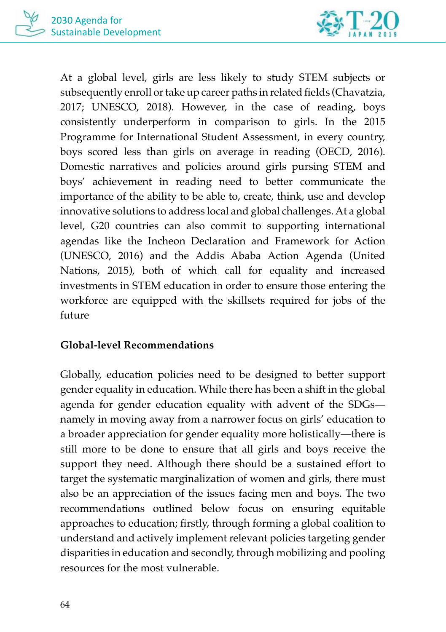

At a global level, girls are less likely to study STEM subjects or subsequently enroll or take up career paths in related fields (Chavatzia, 2017; UNESCO, 2018). However, in the case of reading, boys consistently underperform in comparison to girls. In the 2015 Programme for International Student Assessment, in every country, boys scored less than girls on average in reading (OECD, 2016). Domestic narratives and policies around girls pursing STEM and boys' achievement in reading need to better communicate the importance of the ability to be able to, create, think, use and develop innovative solutions to address local and global challenges. At a global level, G20 countries can also commit to supporting international agendas like the Incheon Declaration and Framework for Action (UNESCO, 2016) and the Addis Ababa Action Agenda (United Nations, 2015), both of which call for equality and increased investments in STEM education in order to ensure those entering the workforce are equipped with the skillsets required for jobs of the future

#### **Global-level Recommendations**

Globally, education policies need to be designed to better support gender equality in education. While there has been a shift in the global agenda for gender education equality with advent of the SDGs namely in moving away from a narrower focus on girls' education to a broader appreciation for gender equality more holistically—there is still more to be done to ensure that all girls and boys receive the support they need. Although there should be a sustained effort to target the systematic marginalization of women and girls, there must also be an appreciation of the issues facing men and boys. The two recommendations outlined below focus on ensuring equitable approaches to education; firstly, through forming a global coalition to understand and actively implement relevant policies targeting gender disparities in education and secondly, through mobilizing and pooling resources for the most vulnerable.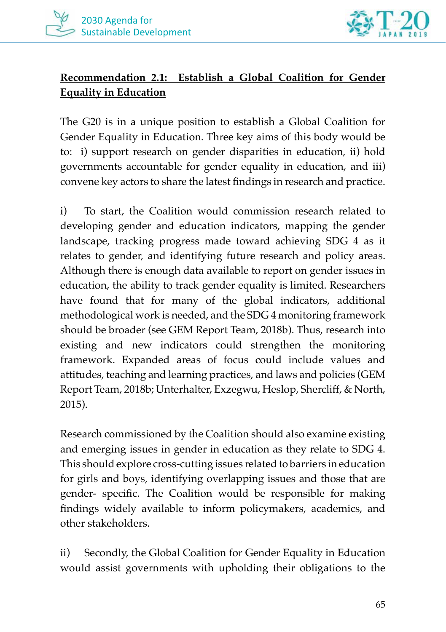

### **Recommendation 2.1: Establish a Global Coalition for Gender Equality in Education**

The G20 is in a unique position to establish a Global Coalition for Gender Equality in Education. Three key aims of this body would be to: i) support research on gender disparities in education, ii) hold governments accountable for gender equality in education, and iii) convene key actors to share the latest findings in research and practice.

i) To start, the Coalition would commission research related to developing gender and education indicators, mapping the gender landscape, tracking progress made toward achieving SDG 4 as it relates to gender, and identifying future research and policy areas. Although there is enough data available to report on gender issues in education, the ability to track gender equality is limited. Researchers have found that for many of the global indicators, additional methodological work is needed, and the SDG 4 monitoring framework should be broader (see GEM Report Team, 2018b). Thus, research into existing and new indicators could strengthen the monitoring framework. Expanded areas of focus could include values and attitudes, teaching and learning practices, and laws and policies (GEM Report Team, 2018b; Unterhalter, Exzegwu, Heslop, Shercliff, & North, 2015).

Research commissioned by the Coalition should also examine existing and emerging issues in gender in education as they relate to SDG 4. This should explore cross-cutting issues related to barriers in education for girls and boys, identifying overlapping issues and those that are gender- specific. The Coalition would be responsible for making findings widely available to inform policymakers, academics, and other stakeholders.

ii) Secondly, the Global Coalition for Gender Equality in Education would assist governments with upholding their obligations to the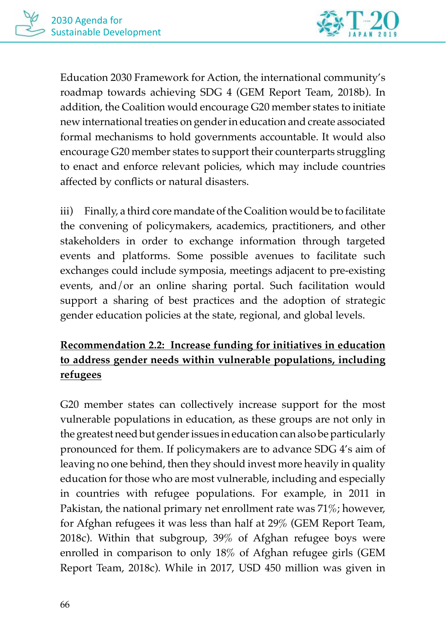

Education 2030 Framework for Action, the international community's roadmap towards achieving SDG 4 (GEM Report Team, 2018b). In addition, the Coalition would encourage G20 member states to initiate new international treaties on gender in education and create associated formal mechanisms to hold governments accountable. It would also encourage G20 member states to support their counterparts struggling to enact and enforce relevant policies, which may include countries affected by conflicts or natural disasters.

iii) Finally, a third core mandate of the Coalition would be to facilitate the convening of policymakers, academics, practitioners, and other stakeholders in order to exchange information through targeted events and platforms. Some possible avenues to facilitate such exchanges could include symposia, meetings adjacent to pre-existing events, and/or an online sharing portal. Such facilitation would support a sharing of best practices and the adoption of strategic gender education policies at the state, regional, and global levels.

## **Recommendation 2.2: Increase funding for initiatives in education to address gender needs within vulnerable populations, including refugees**

G20 member states can collectively increase support for the most vulnerable populations in education, as these groups are not only in the greatest need but gender issues in education can also be particularly pronounced for them. If policymakers are to advance SDG 4's aim of leaving no one behind, then they should invest more heavily in quality education for those who are most vulnerable, including and especially in countries with refugee populations. For example, in 2011 in Pakistan, the national primary net enrollment rate was 71%; however, for Afghan refugees it was less than half at 29% (GEM Report Team, 2018c). Within that subgroup, 39% of Afghan refugee boys were enrolled in comparison to only 18% of Afghan refugee girls (GEM Report Team, 2018c). While in 2017, USD 450 million was given in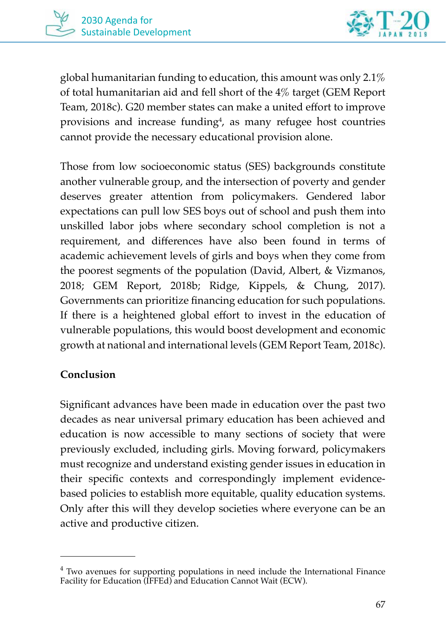

global humanitarian funding to education, this amount was only 2.1% of total humanitarian aid and fell short of the 4% target (GEM Report Team, 2018c). G20 member states can make a united effort to improve provisions and increase funding<sup>4</sup>, as many refugee host countries cannot provide the necessary educational provision alone.

Those from low socioeconomic status (SES) backgrounds constitute another vulnerable group, and the intersection of poverty and gender deserves greater attention from policymakers. Gendered labor expectations can pull low SES boys out of school and push them into unskilled labor jobs where secondary school completion is not a requirement, and differences have also been found in terms of academic achievement levels of girls and boys when they come from the poorest segments of the population (David, Albert, & Vizmanos, 2018; GEM Report, 2018b; Ridge, Kippels, & Chung, 2017). Governments can prioritize financing education for such populations. If there is a heightened global effort to invest in the education of vulnerable populations, this would boost development and economic growth at national and international levels (GEM Report Team, 2018c).

#### **Conclusion**

Significant advances have been made in education over the past two decades as near universal primary education has been achieved and education is now accessible to many sections of society that were previously excluded, including girls. Moving forward, policymakers must recognize and understand existing gender issues in education in their specific contexts and correspondingly implement evidencebased policies to establish more equitable, quality education systems. Only after this will they develop societies where everyone can be an active and productive citizen.

<sup>&</sup>lt;sup>4</sup> Two avenues for supporting populations in need include the International Finance Facility for Education (IFFEd) and Education Cannot Wait (ECW).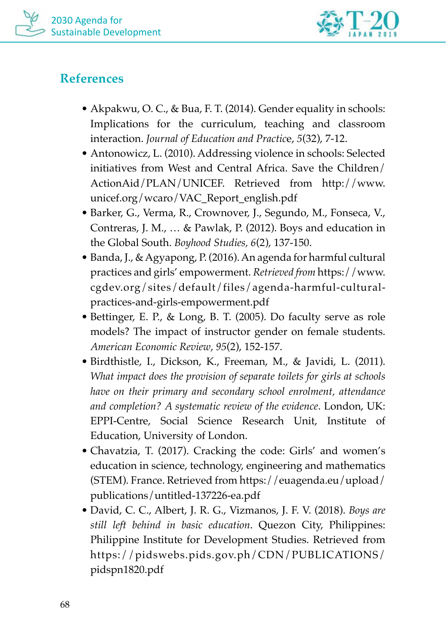



## **References**

- Akpakwu, O. C., & Bua, F. T. (2014). Gender equality in schools: Implications for the curriculum, teaching and classroom interaction. *Journal of Education and Practic*e, *5*(32), 7-12.
- Antonowicz, L. (2010). Addressing violence in schools: Selected initiatives from West and Central Africa. Save the Children/ ActionAid/PLAN/UNICEF. Retrieved from http://www. unicef.org/wcaro/VAC\_Report\_english.pdf
- Barker, G., Verma, R., Crownover, J., Segundo, M., Fonseca, V., Contreras, J. M., … & Pawlak, P. (2012). Boys and education in the Global South. *Boyhood Studies, 6*(2), 137-150.
- Banda, J., & Agyapong, P. (2016). An agenda for harmful cultural practices and girls' empowerment. *Retrieved from* https://www. cgdev.org/sites/default/files/agenda-harmful-culturalpractices-and-girls-empowerment.pdf
- Bettinger, E. P., & Long, B. T. (2005). Do faculty serve as role models? The impact of instructor gender on female students. *American Economic Review*, *95*(2), 152-157.
- Birdthistle, I., Dickson, K., Freeman, M., & Javidi, L. (2011). *What impact does the provision of separate toilets for girls at schools have on their primary and secondary school enrolment, attendance and completion? A systematic review of the evidence*. London, UK: EPPI-Centre, Social Science Research Unit, Institute of Education, University of London.
- Chavatzia, T. (2017). Cracking the code: Girls' and women's education in science, technology, engineering and mathematics (STEM). France. Retrieved from https://euagenda.eu/upload/ publications/untitled-137226-ea.pdf
- David, C. C., Albert, J. R. G., Vizmanos, J. F. V. (2018). *Boys are still left behind in basic education*. Quezon City, Philippines: Philippine Institute for Development Studies. Retrieved from https://pidswebs.pids.gov.ph/CDN/PUBLICATIONS/ pidspn1820.pdf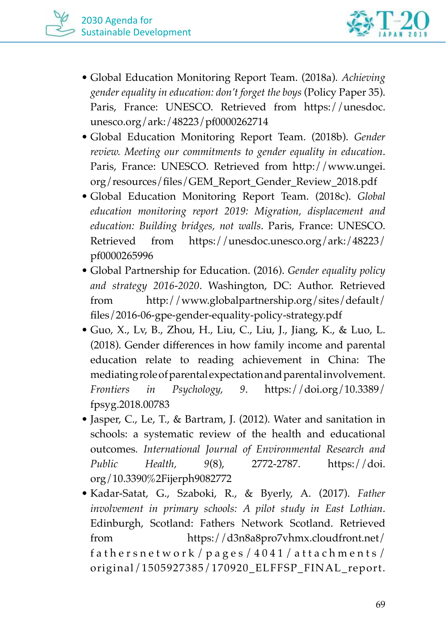

- Global Education Monitoring Report Team. (2018a). *Achieving gender equality in education: don't forget the boys* (Policy Paper 35). Paris, France: UNESCO. Retrieved from https://unesdoc. unesco.org/ark:/48223/pf0000262714
- Global Education Monitoring Report Team. (2018b). *Gender review. Meeting our commitments to gender equality in education*. Paris, France: UNESCO. Retrieved from http://www.ungei. org/resources/files/GEM\_Report\_Gender\_Review\_2018.pdf
- Global Education Monitoring Report Team. (2018c). *Global education monitoring report 2019: Migration, displacement and education: Building bridges, not walls*. Paris, France: UNESCO. Retrieved from https://unesdoc.unesco.org/ark:/48223/ pf0000265996
- Global Partnership for Education. (2016). *Gender equality policy and strategy 2016-2020*. Washington, DC: Author. Retrieved from http://www.globalpartnership.org/sites/default/ files/2016-06-gpe-gender-equality-policy-strategy.pdf
- Guo, X., Lv, B., Zhou, H., Liu, C., Liu, J., Jiang, K., & Luo, L. (2018). Gender differences in how family income and parental education relate to reading achievement in China: The mediating role of parental expectation and parental involvement. *Frontiers in Psychology, 9*. https://doi.org/10.3389/ fpsyg.2018.00783
- Jasper, C., Le, T., & Bartram, J. (2012). Water and sanitation in schools: a systematic review of the health and educational outcomes*. International Journal of Environmental Research and Public Health, 9*(8), 2772-2787. https://doi. org/10.3390%2Fijerph9082772
- Kadar-Satat, G., Szaboki, R., & Byerly, A. (2017). *Father involvement in primary schools: A pilot study in East Lothian*. Edinburgh, Scotland: Fathers Network Scotland. Retrieved from https://d3n8a8pro7vhmx.cloudfront.net/ fathersnetwork/pages/4041/attachments/ original/1505927385/170920\_ELFFSP\_FINAL\_report.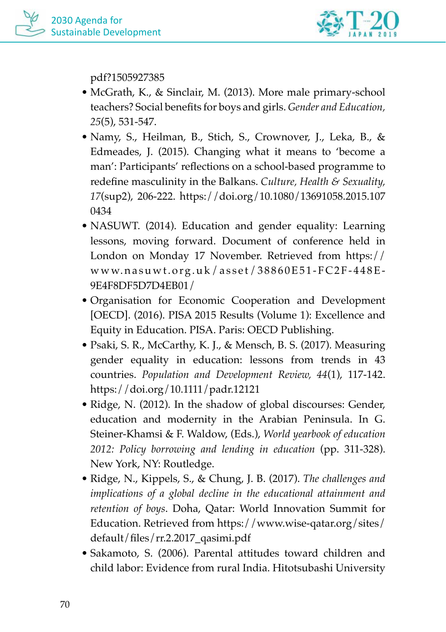

pdf?1505927385

- McGrath, K., & Sinclair, M. (2013). More male primary-school teachers? Social benefits for boys and girls. *Gender and Education, 25*(5), 531-547.
- Namy, S., Heilman, B., Stich, S., Crownover, J., Leka, B., & Edmeades, J. (2015). Changing what it means to 'become a man': Participants' reflections on a school-based programme to redefine masculinity in the Balkans. *Culture, Health & Sexuality, 17*(sup2), 206-222. https://doi.org/10.1080/13691058.2015.107 0434
- NASUWT. (2014). Education and gender equality: Learning lessons, moving forward. Document of conference held in London on Monday 17 November. Retrieved from https:// www.nasuwt.org.uk/asset/38860E51-FC2F-448E-9E4F8DF5D7D4EB01/
- Organisation for Economic Cooperation and Development [OECD]. (2016). PISA 2015 Results (Volume 1): Excellence and Equity in Education. PISA. Paris: OECD Publishing.
- Psaki, S. R., McCarthy, K. J., & Mensch, B. S. (2017). Measuring gender equality in education: lessons from trends in 43 countries. *Population and Development Review, 44*(1), 117-142. https://doi.org/10.1111/padr.12121
- Ridge, N. (2012). In the shadow of global discourses: Gender, education and modernity in the Arabian Peninsula. In G. Steiner-Khamsi & F. Waldow, (Eds.), *World yearbook of education 2012: Policy borrowing and lending in education* (pp. 311-328). New York, NY: Routledge.
- Ridge, N., Kippels, S., & Chung, J. B. (2017). *The challenges and implications of a global decline in the educational attainment and retention of boys*. Doha, Qatar: World Innovation Summit for Education. Retrieved from https://www.wise-qatar.org/sites/ default/files/rr.2.2017\_qasimi.pdf
- Sakamoto, S. (2006). Parental attitudes toward children and child labor: Evidence from rural India. Hitotsubashi University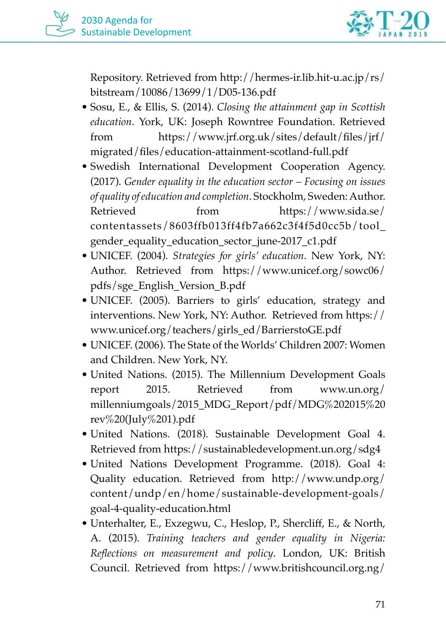

Repository. Retrieved from http://hermes-ir.lib.hit-u.ac.jp/rs/ bitstream/10086/13699/1/D05-136.pdf

- Sosu, E., & Ellis, S. (2014). *Closing the attainment gap in Scottish education*. York, UK: Joseph Rowntree Foundation. Retrieved from https://www.jrf.org.uk/sites/default/files/jrf/ migrated/files/education-attainment-scotland-full.pdf
- Swedish International Development Cooperation Agency. (2017). *Gender equality in the education sector – Focusing on issues of quality of education and completion*. Stockholm, Sweden: Author. Retrieved from https://www.sida.se/ contentassets/8603ffb013ff4fb7a662c3f4f5d0cc5b/tool\_ gender\_equality\_education\_sector\_june-2017\_c1.pdf
- UNICEF. (2004). *Strategies for girls' education*. New York, NY: Author. Retrieved from https://www.unicef.org/sowc06/ pdfs/sge\_English\_Version\_B.pdf
- UNICEF. (2005). Barriers to girls' education, strategy and interventions. New York, NY: Author. Retrieved from https:// www.unicef.org/teachers/girls\_ed/BarrierstoGE.pdf
- UNICEF. (2006). The State of the Worlds' Children 2007: Women and Children. New York, NY.
- United Nations. (2015). The Millennium Development Goals report 2015. Retrieved from www.un.org/ millenniumgoals/2015\_MDG\_Report/pdf/MDG%202015%20 rev%20(July%201).pdf
- United Nations. (2018). Sustainable Development Goal 4. Retrieved from https://sustainabledevelopment.un.org/sdg4
- United Nations Development Programme. (2018). Goal 4: Quality education. Retrieved from http://www.undp.org/ content/undp/en/home/sustainable-development-goals/ goal-4-quality-education.html
- Unterhalter, E., Exzegwu, C., Heslop, P., Shercliff, E., & North, A. (2015). *Training teachers and gender equality in Nigeria: Reflections on measurement and policy*. London, UK: British Council. Retrieved from https://www.britishcouncil.org.ng/